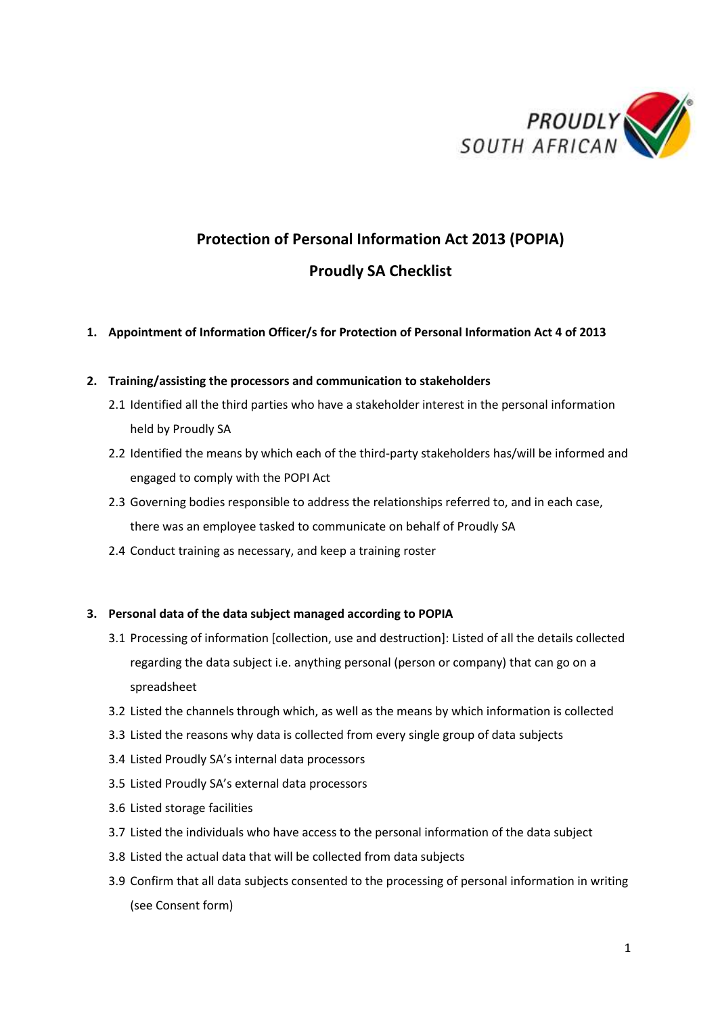

# **Protection of Personal Information Act 2013 (POPIA) Proudly SA Checklist**

# **1. Appointment of Information Officer/s for Protection of Personal Information Act 4 of 2013**

# **2. Training/assisting the processors and communication to stakeholders**

- 2.1 Identified all the third parties who have a stakeholder interest in the personal information held by Proudly SA
- 2.2 Identified the means by which each of the third-party stakeholders has/will be informed and engaged to comply with the POPI Act
- 2.3 Governing bodies responsible to address the relationships referred to, and in each case, there was an employee tasked to communicate on behalf of Proudly SA
- 2.4 Conduct training as necessary, and keep a training roster

# **3. Personal data of the data subject managed according to POPIA**

- 3.1 Processing of information [collection, use and destruction]: Listed of all the details collected regarding the data subject i.e. anything personal (person or company) that can go on a spreadsheet
- 3.2 Listed the channels through which, as well as the means by which information is collected
- 3.3 Listed the reasons why data is collected from every single group of data subjects
- 3.4 Listed Proudly SA's internal data processors
- 3.5 Listed Proudly SA's external data processors
- 3.6 Listed storage facilities
- 3.7 Listed the individuals who have access to the personal information of the data subject
- 3.8 Listed the actual data that will be collected from data subjects
- 3.9 Confirm that all data subjects consented to the processing of personal information in writing (see Consent form)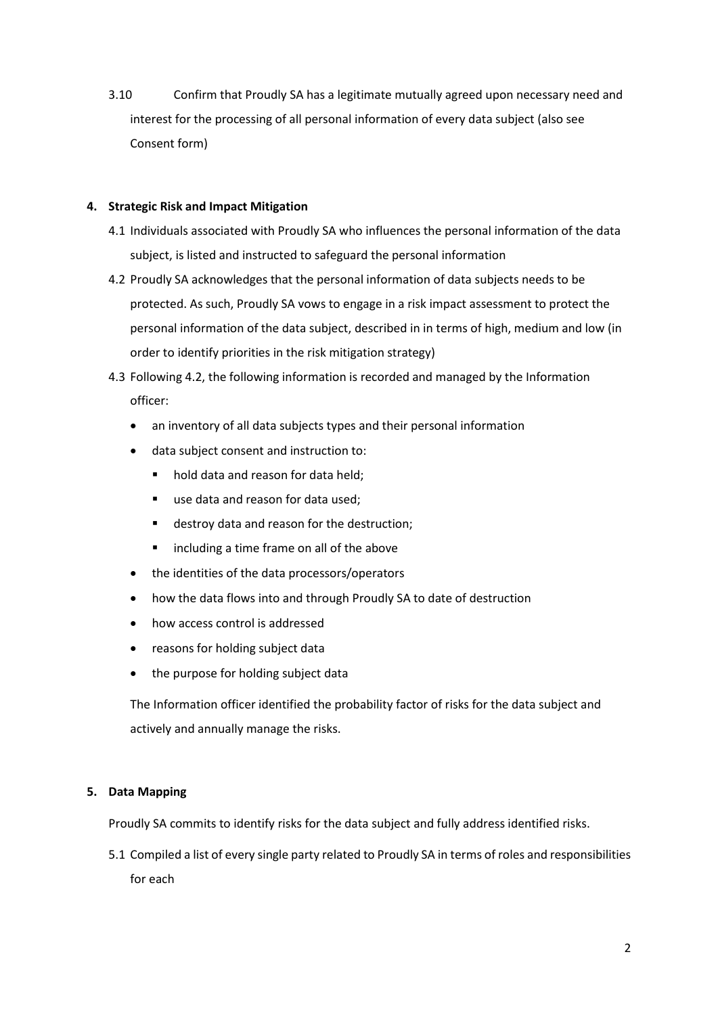3.10 Confirm that Proudly SA has a legitimate mutually agreed upon necessary need and interest for the processing of all personal information of every data subject (also see Consent form)

# **4. Strategic Risk and Impact Mitigation**

- 4.1 Individuals associated with Proudly SA who influences the personal information of the data subject, is listed and instructed to safeguard the personal information
- 4.2 Proudly SA acknowledges that the personal information of data subjects needs to be protected. As such, Proudly SA vows to engage in a risk impact assessment to protect the personal information of the data subject, described in in terms of high, medium and low (in order to identify priorities in the risk mitigation strategy)
- 4.3 Following 4.2, the following information is recorded and managed by the Information officer:
	- an inventory of all data subjects types and their personal information
	- data subject consent and instruction to:
		- hold data and reason for data held;
		- use data and reason for data used:
		- destroy data and reason for the destruction;
		- including a time frame on all of the above
	- the identities of the data processors/operators
	- how the data flows into and through Proudly SA to date of destruction
	- how access control is addressed
	- reasons for holding subject data
	- the purpose for holding subject data

The Information officer identified the probability factor of risks for the data subject and actively and annually manage the risks.

# **5. Data Mapping**

Proudly SA commits to identify risks for the data subject and fully address identified risks.

5.1 Compiled a list of every single party related to Proudly SA in terms of roles and responsibilities for each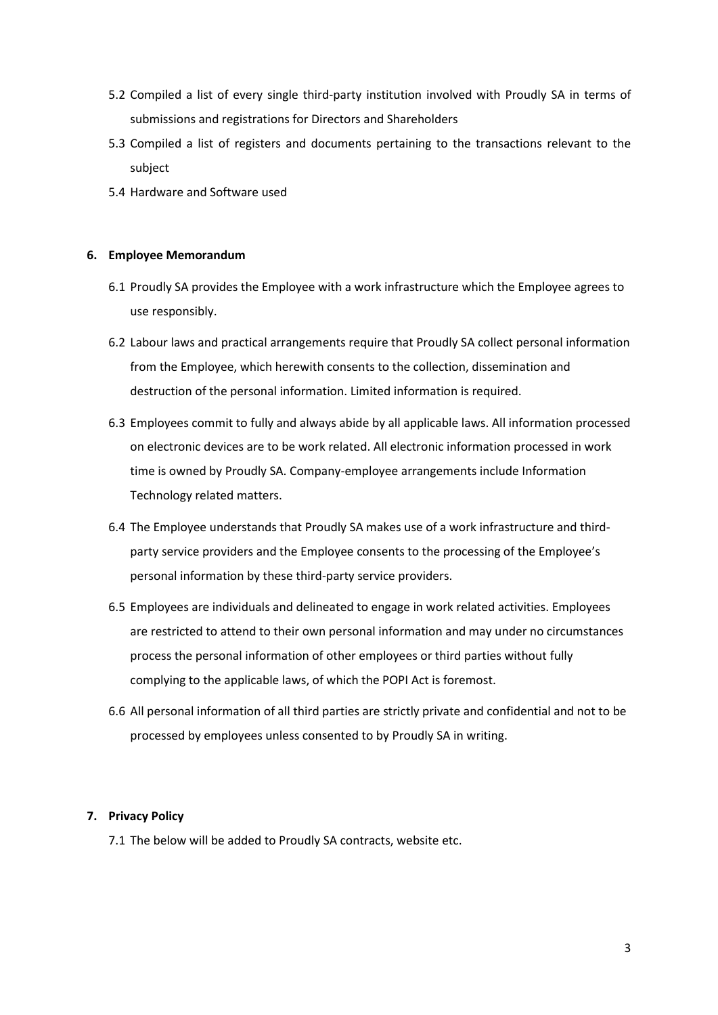- 5.2 Compiled a list of every single third-party institution involved with Proudly SA in terms of submissions and registrations for Directors and Shareholders
- 5.3 Compiled a list of registers and documents pertaining to the transactions relevant to the subject
- 5.4 Hardware and Software used

#### **6. Employee Memorandum**

- 6.1 Proudly SA provides the Employee with a work infrastructure which the Employee agrees to use responsibly.
- 6.2 Labour laws and practical arrangements require that Proudly SA collect personal information from the Employee, which herewith consents to the collection, dissemination and destruction of the personal information. Limited information is required.
- 6.3 Employees commit to fully and always abide by all applicable laws. All information processed on electronic devices are to be work related. All electronic information processed in work time is owned by Proudly SA. Company-employee arrangements include Information Technology related matters.
- 6.4 The Employee understands that Proudly SA makes use of a work infrastructure and thirdparty service providers and the Employee consents to the processing of the Employee's personal information by these third-party service providers.
- 6.5 Employees are individuals and delineated to engage in work related activities. Employees are restricted to attend to their own personal information and may under no circumstances process the personal information of other employees or third parties without fully complying to the applicable laws, of which the POPI Act is foremost.
- 6.6 All personal information of all third parties are strictly private and confidential and not to be processed by employees unless consented to by Proudly SA in writing.

# **7. Privacy Policy**

7.1 The below will be added to Proudly SA contracts, website etc.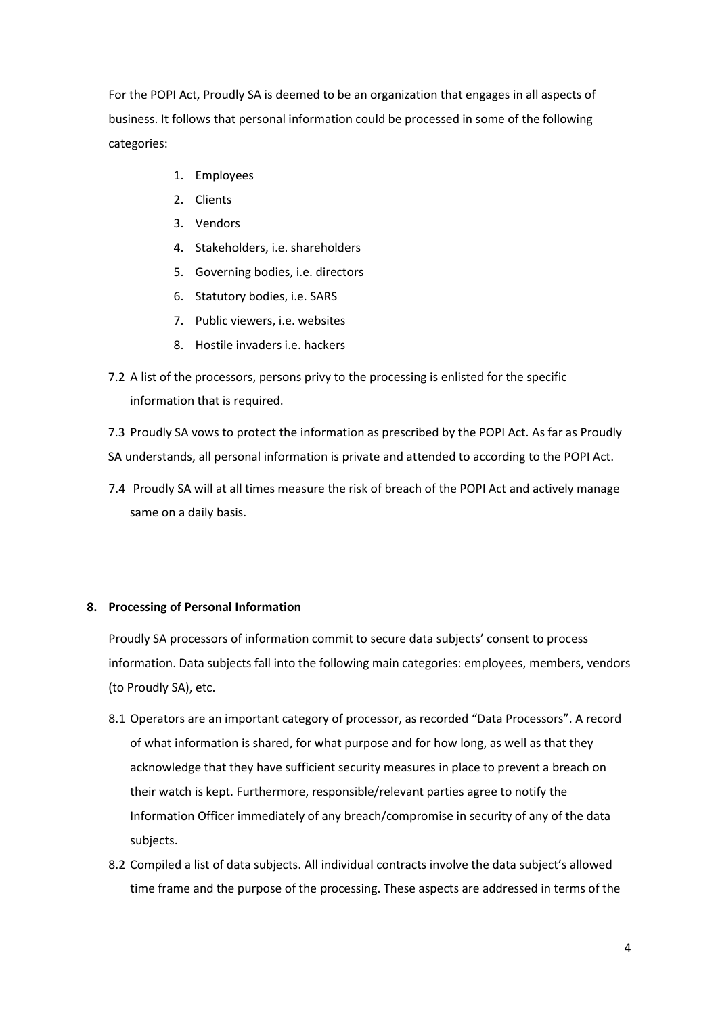For the POPI Act, Proudly SA is deemed to be an organization that engages in all aspects of business. It follows that personal information could be processed in some of the following categories:

- 1. Employees
- 2. Clients
- 3. Vendors
- 4. Stakeholders, i.e. shareholders
- 5. Governing bodies, i.e. directors
- 6. Statutory bodies, i.e. SARS
- 7. Public viewers, i.e. websites
- 8. Hostile invaders i.e. hackers
- 7.2 A list of the processors, persons privy to the processing is enlisted for the specific information that is required.

7.3 Proudly SA vows to protect the information as prescribed by the POPI Act. As far as Proudly SA understands, all personal information is private and attended to according to the POPI Act.

7.4 Proudly SA will at all times measure the risk of breach of the POPI Act and actively manage same on a daily basis.

#### **8. Processing of Personal Information**

Proudly SA processors of information commit to secure data subjects' consent to process information. Data subjects fall into the following main categories: employees, members, vendors (to Proudly SA), etc.

- 8.1 Operators are an important category of processor, as recorded "Data Processors". A record of what information is shared, for what purpose and for how long, as well as that they acknowledge that they have sufficient security measures in place to prevent a breach on their watch is kept. Furthermore, responsible/relevant parties agree to notify the Information Officer immediately of any breach/compromise in security of any of the data subjects.
- 8.2 Compiled a list of data subjects. All individual contracts involve the data subject's allowed time frame and the purpose of the processing. These aspects are addressed in terms of the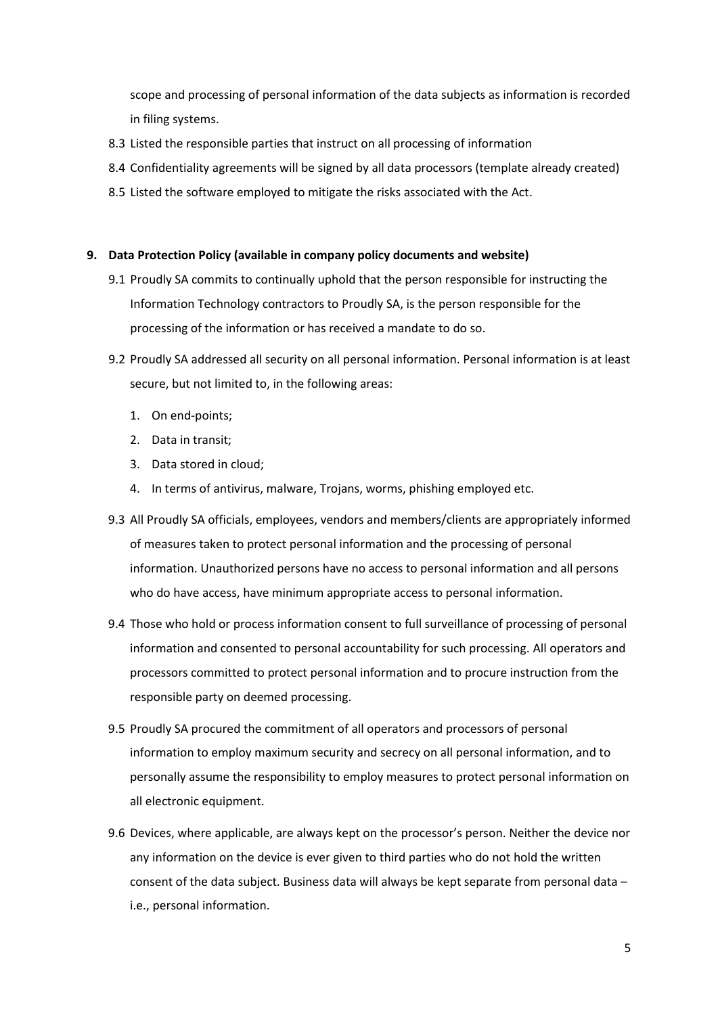scope and processing of personal information of the data subjects as information is recorded in filing systems.

- 8.3 Listed the responsible parties that instruct on all processing of information
- 8.4 Confidentiality agreements will be signed by all data processors (template already created)
- 8.5 Listed the software employed to mitigate the risks associated with the Act.

#### **9. Data Protection Policy (available in company policy documents and website)**

- 9.1 Proudly SA commits to continually uphold that the person responsible for instructing the Information Technology contractors to Proudly SA, is the person responsible for the processing of the information or has received a mandate to do so.
- 9.2 Proudly SA addressed all security on all personal information. Personal information is at least secure, but not limited to, in the following areas:
	- 1. On end-points;
	- 2. Data in transit;
	- 3. Data stored in cloud;
	- 4. In terms of antivirus, malware, Trojans, worms, phishing employed etc.
- 9.3 All Proudly SA officials, employees, vendors and members/clients are appropriately informed of measures taken to protect personal information and the processing of personal information. Unauthorized persons have no access to personal information and all persons who do have access, have minimum appropriate access to personal information.
- 9.4 Those who hold or process information consent to full surveillance of processing of personal information and consented to personal accountability for such processing. All operators and processors committed to protect personal information and to procure instruction from the responsible party on deemed processing.
- 9.5 Proudly SA procured the commitment of all operators and processors of personal information to employ maximum security and secrecy on all personal information, and to personally assume the responsibility to employ measures to protect personal information on all electronic equipment.
- 9.6 Devices, where applicable, are always kept on the processor's person. Neither the device nor any information on the device is ever given to third parties who do not hold the written consent of the data subject. Business data will always be kept separate from personal data – i.e., personal information.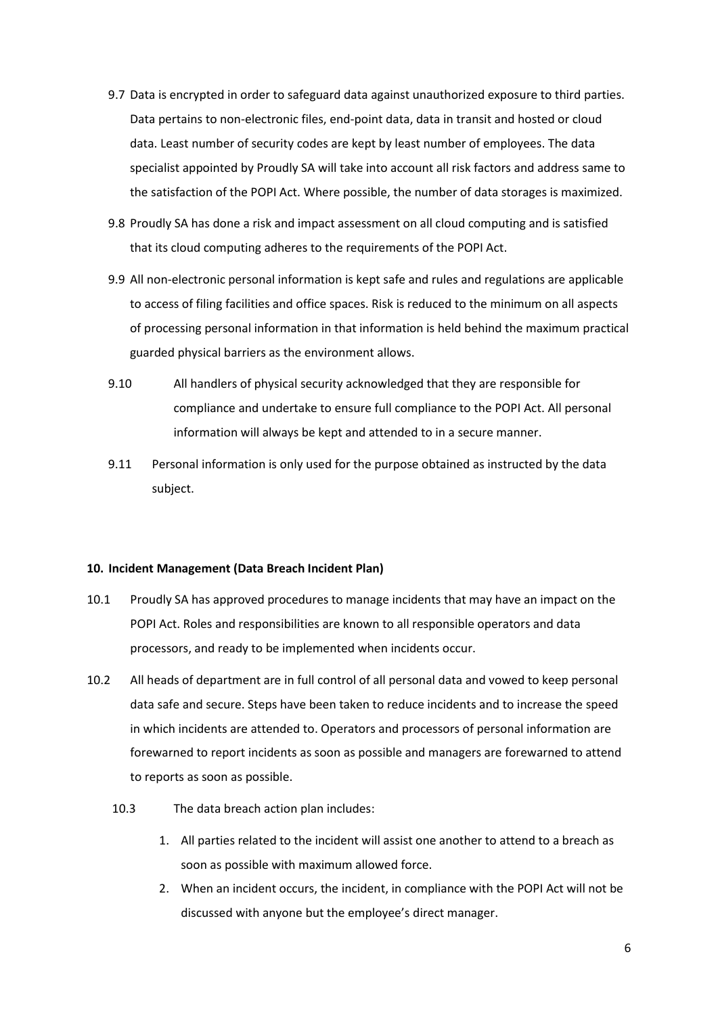- 9.7 Data is encrypted in order to safeguard data against unauthorized exposure to third parties. Data pertains to non-electronic files, end-point data, data in transit and hosted or cloud data. Least number of security codes are kept by least number of employees. The data specialist appointed by Proudly SA will take into account all risk factors and address same to the satisfaction of the POPI Act. Where possible, the number of data storages is maximized.
- 9.8 Proudly SA has done a risk and impact assessment on all cloud computing and is satisfied that its cloud computing adheres to the requirements of the POPI Act.
- 9.9 All non-electronic personal information is kept safe and rules and regulations are applicable to access of filing facilities and office spaces. Risk is reduced to the minimum on all aspects of processing personal information in that information is held behind the maximum practical guarded physical barriers as the environment allows.
- 9.10 All handlers of physical security acknowledged that they are responsible for compliance and undertake to ensure full compliance to the POPI Act. All personal information will always be kept and attended to in a secure manner.
- 9.11 Personal information is only used for the purpose obtained as instructed by the data subject.

#### **10. Incident Management (Data Breach Incident Plan)**

- 10.1 Proudly SA has approved procedures to manage incidents that may have an impact on the POPI Act. Roles and responsibilities are known to all responsible operators and data processors, and ready to be implemented when incidents occur.
- 10.2 All heads of department are in full control of all personal data and vowed to keep personal data safe and secure. Steps have been taken to reduce incidents and to increase the speed in which incidents are attended to. Operators and processors of personal information are forewarned to report incidents as soon as possible and managers are forewarned to attend to reports as soon as possible.
	- 10.3 The data breach action plan includes:
		- 1. All parties related to the incident will assist one another to attend to a breach as soon as possible with maximum allowed force.
		- 2. When an incident occurs, the incident, in compliance with the POPI Act will not be discussed with anyone but the employee's direct manager.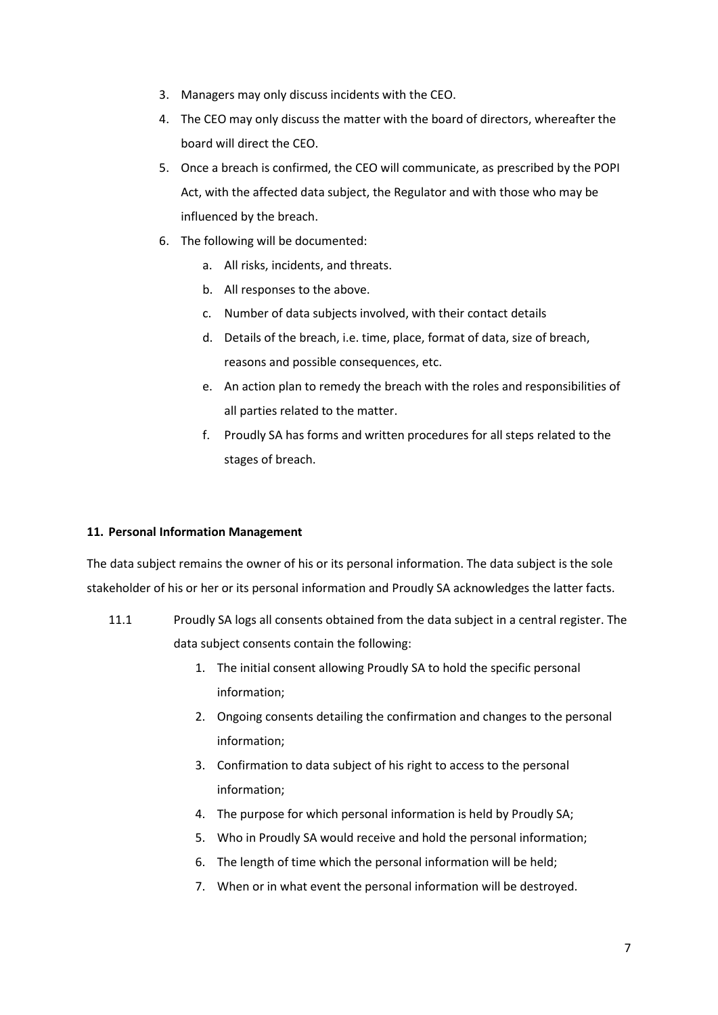- 3. Managers may only discuss incidents with the CEO.
- 4. The CEO may only discuss the matter with the board of directors, whereafter the board will direct the CEO.
- 5. Once a breach is confirmed, the CEO will communicate, as prescribed by the POPI Act, with the affected data subject, the Regulator and with those who may be influenced by the breach.
- 6. The following will be documented:
	- a. All risks, incidents, and threats.
	- b. All responses to the above.
	- c. Number of data subjects involved, with their contact details
	- d. Details of the breach, i.e. time, place, format of data, size of breach, reasons and possible consequences, etc.
	- e. An action plan to remedy the breach with the roles and responsibilities of all parties related to the matter.
	- f. Proudly SA has forms and written procedures for all steps related to the stages of breach.

# **11. Personal Information Management**

The data subject remains the owner of his or its personal information. The data subject is the sole stakeholder of his or her or its personal information and Proudly SA acknowledges the latter facts.

- 11.1 Proudly SA logs all consents obtained from the data subject in a central register. The data subject consents contain the following:
	- 1. The initial consent allowing Proudly SA to hold the specific personal information;
	- 2. Ongoing consents detailing the confirmation and changes to the personal information;
	- 3. Confirmation to data subject of his right to access to the personal information;
	- 4. The purpose for which personal information is held by Proudly SA;
	- 5. Who in Proudly SA would receive and hold the personal information;
	- 6. The length of time which the personal information will be held;
	- 7. When or in what event the personal information will be destroyed.